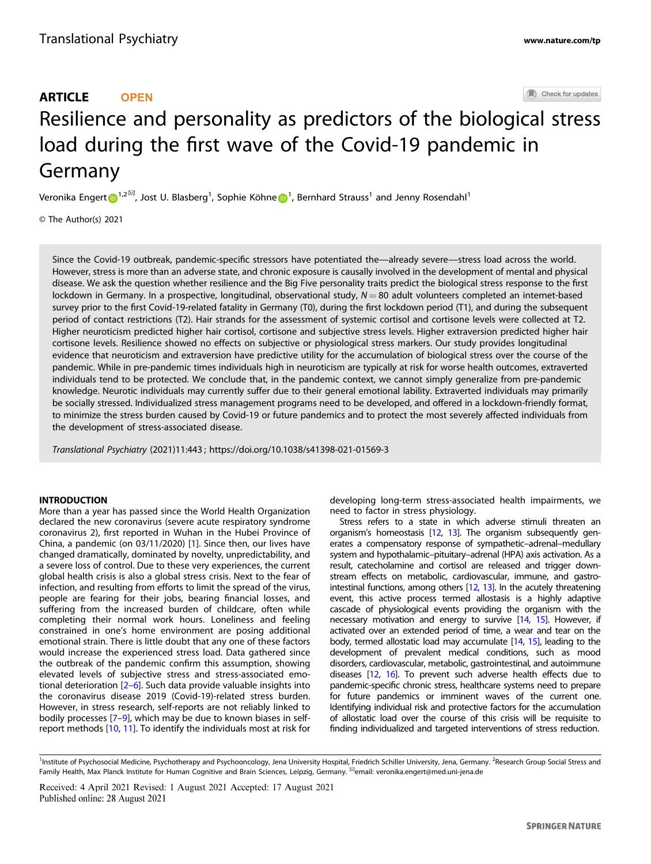Check for updates

# Resilience and personality as predictors of the biologi[c](http://crossmark.crossref.org/dialog/?doi=10.1038/s41398-021-01569-3&domain=pdf)al stress load during the first wave of the Covid-19 pandemic in Germany

V[e](http://orcid.org/0000-0001-5856-873X)ronika Engert $\boldsymbol{\Theta}^{1,2\boxtimes}$  $\boldsymbol{\Theta}^{1,2\boxtimes}$  $\boldsymbol{\Theta}^{1,2\boxtimes}$ , Jost U. Blasberg $^1$ , Sophie Köhne $\boldsymbol{\Theta}^1$ , Bernhard Strauss $^1$  and Jenny Rosendahl $^1$ 

© The Author(s) 2021

Since the Covid-19 outbreak, pandemic-specific stressors have potentiated the—already severe—stress load across the world. However, stress is more than an adverse state, and chronic exposure is causally involved in the development of mental and physical disease. We ask the question whether resilience and the Big Five personality traits predict the biological stress response to the first lockdown in Germany. In a prospective, longitudinal, observational study,  $N = 80$  adult volunteers completed an internet-based survey prior to the first Covid-19-related fatality in Germany (T0), during the first lockdown period (T1), and during the subsequent period of contact restrictions (T2). Hair strands for the assessment of systemic cortisol and cortisone levels were collected at T2. Higher neuroticism predicted higher hair cortisol, cortisone and subjective stress levels. Higher extraversion predicted higher hair cortisone levels. Resilience showed no effects on subjective or physiological stress markers. Our study provides longitudinal evidence that neuroticism and extraversion have predictive utility for the accumulation of biological stress over the course of the pandemic. While in pre-pandemic times individuals high in neuroticism are typically at risk for worse health outcomes, extraverted individuals tend to be protected. We conclude that, in the pandemic context, we cannot simply generalize from pre-pandemic knowledge. Neurotic individuals may currently suffer due to their general emotional lability. Extraverted individuals may primarily be socially stressed. Individualized stress management programs need to be developed, and offered in a lockdown-friendly format, to minimize the stress burden caused by Covid-19 or future pandemics and to protect the most severely affected individuals from the development of stress-associated disease.

Translational Psychiatry (2021) 11:443 ; https://doi.or[g/10.1038/s41398-021-01569-3](https://doi.org/10.1038/s41398-021-01569-3)

## INTRODUCTION

More than a year has passed since the World Health Organization declared the new coronavirus (severe acute respiratory syndrome coronavirus 2), first reported in Wuhan in the Hubei Province of China, a pandemic (on 03/11/2020) [[1](#page-6-0)]. Since then, our lives have changed dramatically, dominated by novelty, unpredictability, and a severe loss of control. Due to these very experiences, the current global health crisis is also a global stress crisis. Next to the fear of infection, and resulting from efforts to limit the spread of the virus, people are fearing for their jobs, bearing financial losses, and suffering from the increased burden of childcare, often while completing their normal work hours. Loneliness and feeling constrained in one's home environment are posing additional emotional strain. There is little doubt that any one of these factors would increase the experienced stress load. Data gathered since the outbreak of the pandemic confirm this assumption, showing elevated levels of subjective stress and stress-associated emotional deterioration [[2](#page-6-0)–[6\]](#page-6-0). Such data provide valuable insights into the coronavirus disease 2019 (Covid-19)-related stress burden. However, in stress research, self-reports are not reliably linked to bodily processes [[7](#page-6-0)–[9\]](#page-6-0), which may be due to known biases in selfreport methods [\[10,](#page-6-0) [11\]](#page-6-0). To identify the individuals most at risk for

developing long-term stress-associated health impairments, we need to factor in stress physiology.

Stress refers to a state in which adverse stimuli threaten an organism's homeostasis [\[12,](#page-6-0) [13](#page-6-0)]. The organism subsequently generates a compensatory response of sympathetic–adrenal–medullary system and hypothalamic–pituitary–adrenal (HPA) axis activation. As a result, catecholamine and cortisol are released and trigger downstream effects on metabolic, cardiovascular, immune, and gastrointestinal functions, among others [[12](#page-6-0), [13](#page-6-0)]. In the acutely threatening event, this active process termed allostasis is a highly adaptive cascade of physiological events providing the organism with the necessary motivation and energy to survive [\[14,](#page-6-0) [15\]](#page-6-0). However, if activated over an extended period of time, a wear and tear on the body, termed allostatic load may accumulate [\[14](#page-6-0), [15\]](#page-6-0), leading to the development of prevalent medical conditions, such as mood disorders, cardiovascular, metabolic, gastrointestinal, and autoimmune diseases [\[12,](#page-6-0) [16\]](#page-6-0). To prevent such adverse health effects due to pandemic-specific chronic stress, healthcare systems need to prepare for future pandemics or imminent waves of the current one. Identifying individual risk and protective factors for the accumulation of allostatic load over the course of this crisis will be requisite to finding individualized and targeted interventions of stress reduction.

<sup>&</sup>lt;sup>1</sup>Institute of Psychosocial Medicine, Psychotherapy and Psychooncology, Jena University Hospital, Friedrich Schiller University, Jena, Germany. <sup>2</sup>Research Group Social Stress and Family Health, Max Planck Institute for Human Cognitive and Brain Sciences, Leipzig, Germany. <sup>⊠</sup>email: [veronika.engert@med.uni-jena.de](mailto:veronika.engert@med.uni-jena.de)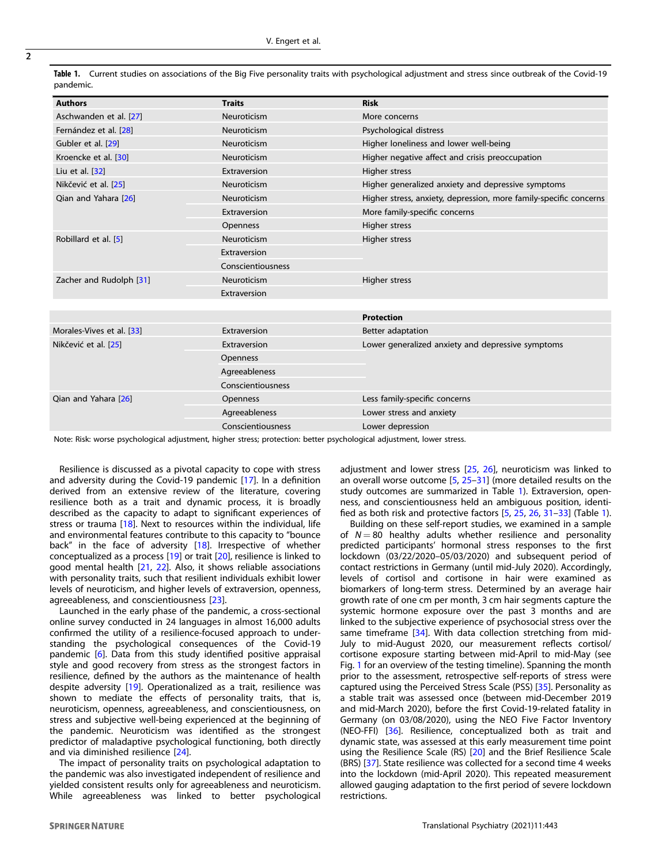|           |  | Table 1. Current studies on associations of the Big Five personality traits with psychological adjustment and stress since outbreak of the Covid-19 |  |  |  |
|-----------|--|-----------------------------------------------------------------------------------------------------------------------------------------------------|--|--|--|
| pandemic. |  |                                                                                                                                                     |  |  |  |

| <b>Authors</b>            | <b>Traits</b>     | <b>Risk</b>                                                       |  |  |
|---------------------------|-------------------|-------------------------------------------------------------------|--|--|
| Aschwanden et al. [27]    | Neuroticism       | More concerns                                                     |  |  |
| Fernández et al. [28]     | Neuroticism       | Psychological distress                                            |  |  |
| Gubler et al. [29]        | Neuroticism       | Higher loneliness and lower well-being                            |  |  |
| Kroencke et al. [30]      | Neuroticism       | Higher negative affect and crisis preoccupation                   |  |  |
| Liu et al. [32]           | Extraversion      | <b>Higher stress</b>                                              |  |  |
| Nikčević et al. [25]      | Neuroticism       | Higher generalized anxiety and depressive symptoms                |  |  |
| Qian and Yahara [26]      | Neuroticism       | Higher stress, anxiety, depression, more family-specific concerns |  |  |
|                           | Extraversion      | More family-specific concerns                                     |  |  |
|                           | Openness          | <b>Higher stress</b>                                              |  |  |
| Robillard et al. [5]      | Neuroticism       | Higher stress                                                     |  |  |
|                           | Extraversion      |                                                                   |  |  |
|                           | Conscientiousness |                                                                   |  |  |
| Zacher and Rudolph [31]   | Neuroticism       | Higher stress                                                     |  |  |
|                           | Extraversion      |                                                                   |  |  |
|                           |                   |                                                                   |  |  |
|                           |                   | <b>Protection</b>                                                 |  |  |
| Morales-Vives et al. [33] | Extraversion      | Better adaptation                                                 |  |  |
| Nikčević et al. [25]      | Extraversion      | Lower generalized anxiety and depressive symptoms                 |  |  |
|                           | Openness          |                                                                   |  |  |
|                           | Agreeableness     |                                                                   |  |  |
|                           | Conscientiousness |                                                                   |  |  |
| Oian and Yahara [26]      | Openness          | Less family-specific concerns                                     |  |  |
|                           | Agreeableness     | Lower stress and anxiety                                          |  |  |
|                           | Conscientiousness | Lower depression                                                  |  |  |
|                           |                   |                                                                   |  |  |

Note: Risk: worse psychological adjustment, higher stress; protection: better psychological adjustment, lower stress.

Resilience is discussed as a pivotal capacity to cope with stress and adversity during the Covid-19 pandemic [\[17](#page-6-0)]. In a definition derived from an extensive review of the literature, covering resilience both as a trait and dynamic process, it is broadly described as the capacity to adapt to significant experiences of stress or trauma [\[18\]](#page-6-0). Next to resources within the individual, life and environmental features contribute to this capacity to "bounce back" in the face of adversity [\[18](#page-6-0)]. Irrespective of whether conceptualized as a process [[19](#page-6-0)] or trait [\[20](#page-6-0)], resilience is linked to good mental health [\[21,](#page-6-0) [22](#page-6-0)]. Also, it shows reliable associations with personality traits, such that resilient individuals exhibit lower levels of neuroticism, and higher levels of extraversion, openness, agreeableness, and conscientiousness [[23](#page-6-0)].

Launched in the early phase of the pandemic, a cross-sectional online survey conducted in 24 languages in almost 16,000 adults confirmed the utility of a resilience-focused approach to understanding the psychological consequences of the Covid-19 pandemic [\[6\]](#page-6-0). Data from this study identified positive appraisal style and good recovery from stress as the strongest factors in resilience, defined by the authors as the maintenance of health despite adversity [\[19\]](#page-6-0). Operationalized as a trait, resilience was shown to mediate the effects of personality traits, that is, neuroticism, openness, agreeableness, and conscientiousness, on stress and subjective well-being experienced at the beginning of the pandemic. Neuroticism was identified as the strongest predictor of maladaptive psychological functioning, both directly and via diminished resilience [\[24\]](#page-7-0).

The impact of personality traits on psychological adaptation to the pandemic was also investigated independent of resilience and yielded consistent results only for agreeableness and neuroticism. While agreeableness was linked to better psychological adjustment and lower stress [\[25,](#page-7-0) [26](#page-7-0)], neuroticism was linked to an overall worse outcome [[5](#page-6-0), [25](#page-7-0)–[31](#page-7-0)] (more detailed results on the study outcomes are summarized in Table 1). Extraversion, openness, and conscientiousness held an ambiguous position, identified as both risk and protective factors [\[5](#page-6-0), [25,](#page-7-0) [26](#page-7-0), [31](#page-7-0)–[33](#page-7-0)] (Table 1).

Building on these self-report studies, we examined in a sample of  $N = 80$  healthy adults whether resilience and personality predicted participants' hormonal stress responses to the first lockdown (03/22/2020–05/03/2020) and subsequent period of contact restrictions in Germany (until mid-July 2020). Accordingly, levels of cortisol and cortisone in hair were examined as biomarkers of long-term stress. Determined by an average hair growth rate of one cm per month, 3 cm hair segments capture the systemic hormone exposure over the past 3 months and are linked to the subjective experience of psychosocial stress over the same timeframe [[34](#page-7-0)]. With data collection stretching from mid-July to mid-August 2020, our measurement reflects cortisol/ cortisone exposure starting between mid-April to mid-May (see Fig. [1](#page-2-0) for an overview of the testing timeline). Spanning the month prior to the assessment, retrospective self-reports of stress were captured using the Perceived Stress Scale (PSS) [\[35\]](#page-7-0). Personality as a stable trait was assessed once (between mid-December 2019 and mid-March 2020), before the first Covid-19-related fatality in Germany (on 03/08/2020), using the NEO Five Factor Inventory (NEO-FFI) [\[36\]](#page-7-0). Resilience, conceptualized both as trait and dynamic state, was assessed at this early measurement time point using the Resilience Scale (RS) [\[20\]](#page-6-0) and the Brief Resilience Scale (BRS) [\[37](#page-7-0)]. State resilience was collected for a second time 4 weeks into the lockdown (mid-April 2020). This repeated measurement allowed gauging adaptation to the first period of severe lockdown restrictions.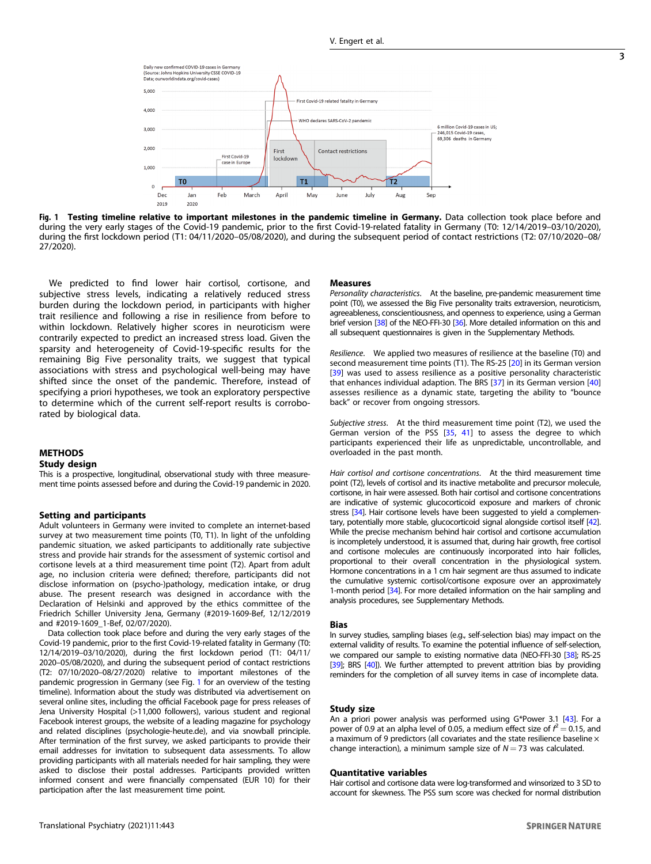<span id="page-2-0"></span>

Fig. 1 Testing timeline relative to important milestones in the pandemic timeline in Germany. Data collection took place before and during the very early stages of the Covid-19 pandemic, prior to the first Covid-19-related fatality in Germany (T0: 12/14/2019–03/10/2020), during the first lockdown period (T1: 04/11/2020–05/08/2020), and during the subsequent period of contact restrictions (T2: 07/10/2020–08/ 27/2020).

We predicted to find lower hair cortisol, cortisone, and subjective stress levels, indicating a relatively reduced stress burden during the lockdown period, in participants with higher trait resilience and following a rise in resilience from before to within lockdown. Relatively higher scores in neuroticism were contrarily expected to predict an increased stress load. Given the sparsity and heterogeneity of Covid-19-specific results for the remaining Big Five personality traits, we suggest that typical associations with stress and psychological well-being may have shifted since the onset of the pandemic. Therefore, instead of specifying a priori hypotheses, we took an exploratory perspective to determine which of the current self-report results is corroborated by biological data.

## METHODS

## Study design

This is a prospective, longitudinal, observational study with three measurement time points assessed before and during the Covid-19 pandemic in 2020.

#### Setting and participants

Adult volunteers in Germany were invited to complete an internet-based survey at two measurement time points (T0, T1). In light of the unfolding pandemic situation, we asked participants to additionally rate subjective stress and provide hair strands for the assessment of systemic cortisol and cortisone levels at a third measurement time point (T2). Apart from adult age, no inclusion criteria were defined; therefore, participants did not disclose information on (psycho-)pathology, medication intake, or drug abuse. The present research was designed in accordance with the Declaration of Helsinki and approved by the ethics committee of the Friedrich Schiller University Jena, Germany (#2019-1609-Bef, 12/12/2019 and #2019-1609\_1-Bef, 02/07/2020).

Data collection took place before and during the very early stages of the Covid-19 pandemic, prior to the first Covid-19-related fatality in Germany (T0: 12/14/2019–03/10/2020), during the first lockdown period (T1: 04/11/ 2020–05/08/2020), and during the subsequent period of contact restrictions (T2: 07/10/2020–08/27/2020) relative to important milestones of the pandemic progression in Germany (see Fig. 1 for an overview of the testing timeline). Information about the study was distributed via advertisement on several online sites, including the official Facebook page for press releases of Jena University Hospital (>11,000 followers), various student and regional Facebook interest groups, the website of a leading magazine for psychology and related disciplines (psychologie-heute.de), and via snowball principle. After termination of the first survey, we asked participants to provide their email addresses for invitation to subsequent data assessments. To allow providing participants with all materials needed for hair sampling, they were asked to disclose their postal addresses. Participants provided written informed consent and were financially compensated (EUR 10) for their participation after the last measurement time point.

#### Measures

Personality characteristics. At the baseline, pre-pandemic measurement time point (T0), we assessed the Big Five personality traits extraversion, neuroticism, agreeableness, conscientiousness, and openness to experience, using a German brief version [[38](#page-7-0)] of the NEO-FFI-30 [\[36](#page-7-0)]. More detailed information on this and all subsequent questionnaires is given in the Supplementary Methods.

Resilience. We applied two measures of resilience at the baseline (T0) and second measurement time points (T1). The RS-25 [[20\]](#page-6-0) in its German version [\[39](#page-7-0)] was used to assess resilience as a positive personality characteristic that enhances individual adaption. The BRS [\[37](#page-7-0)] in its German version [[40\]](#page-7-0) assesses resilience as a dynamic state, targeting the ability to "bounce back" or recover from ongoing stressors.

Subjective stress. At the third measurement time point (T2), we used the German version of the PSS [\[35](#page-7-0), [41\]](#page-7-0) to assess the degree to which participants experienced their life as unpredictable, uncontrollable, and overloaded in the past month.

Hair cortisol and cortisone concentrations. At the third measurement time point (T2), levels of cortisol and its inactive metabolite and precursor molecule, cortisone, in hair were assessed. Both hair cortisol and cortisone concentrations are indicative of systemic glucocorticoid exposure and markers of chronic stress [\[34\]](#page-7-0). Hair cortisone levels have been suggested to yield a complementary, potentially more stable, glucocorticoid signal alongside cortisol itself [[42](#page-7-0)]. While the precise mechanism behind hair cortisol and cortisone accumulation is incompletely understood, it is assumed that, during hair growth, free cortisol and cortisone molecules are continuously incorporated into hair follicles, proportional to their overall concentration in the physiological system. Hormone concentrations in a 1 cm hair segment are thus assumed to indicate the cumulative systemic cortisol/cortisone exposure over an approximately 1-month period [[34](#page-7-0)]. For more detailed information on the hair sampling and analysis procedures, see Supplementary Methods.

#### Bias

In survey studies, sampling biases (e.g., self-selection bias) may impact on the external validity of results. To examine the potential influence of self-selection, we compared our sample to existing normative data (NEO-FFI-30 [\[38\]](#page-7-0); RS-25 [\[39\]](#page-7-0); BRS [[40](#page-7-0)]). We further attempted to prevent attrition bias by providing reminders for the completion of all survey items in case of incomplete data.

#### Study size

An a priori power analysis was performed using G\*Power 3.1 [\[43](#page-7-0)]. For a power of 0.9 at an alpha level of 0.05, a medium effect size of  $f^2 = 0.15$ , and a maximum of 9 predictors (all covariates and the state resilience baseline  $\times$ change interaction), a minimum sample size of  $N = 73$  was calculated.

#### Quantitative variables

Hair cortisol and cortisone data were log-transformed and winsorized to 3 SD to account for skewness. The PSS sum score was checked for normal distribution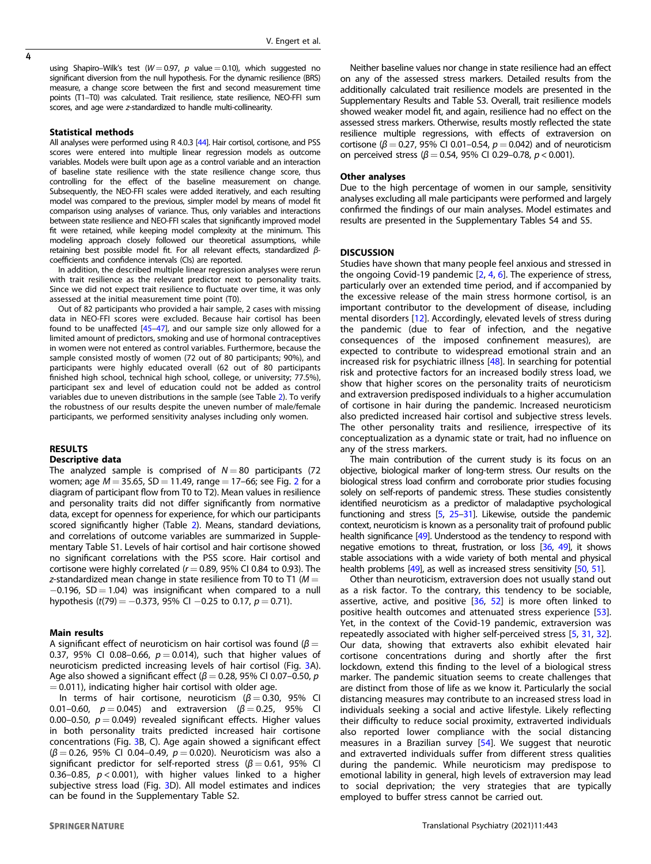using Shapiro–Wilk's test ( $W = 0.97$ , p value  $= 0.10$ ), which suggested no significant diversion from the null hypothesis. For the dynamic resilience (BRS) measure, a change score between the first and second measurement time points (T1–T0) was calculated. Trait resilience, state resilience, NEO-FFI sum scores, and age were z-standardized to handle multi-collinearity.

#### Statistical methods

All analyses were performed using R 4.0.3 [\[44\]](#page-7-0). Hair cortisol, cortisone, and PSS scores were entered into multiple linear regression models as outcome variables. Models were built upon age as a control variable and an interaction of baseline state resilience with the state resilience change score, thus controlling for the effect of the baseline measurement on change. Subsequently, the NEO-FFI scales were added iteratively, and each resulting model was compared to the previous, simpler model by means of model fit comparison using analyses of variance. Thus, only variables and interactions between state resilience and NEO-FFI scales that significantly improved model fit were retained, while keeping model complexity at the minimum. This modeling approach closely followed our theoretical assumptions, while retaining best possible model fit. For all relevant effects, standardized βcoefficients and confidence intervals (CIs) are reported.

In addition, the described multiple linear regression analyses were rerun with trait resilience as the relevant predictor next to personality traits. Since we did not expect trait resilience to fluctuate over time, it was only assessed at the initial measurement time point (T0).

Out of 82 participants who provided a hair sample, 2 cases with missing data in NEO-FFI scores were excluded. Because hair cortisol has been found to be unaffected [[45](#page-7-0)–[47](#page-7-0)], and our sample size only allowed for a limited amount of predictors, smoking and use of hormonal contraceptives in women were not entered as control variables. Furthermore, because the sample consisted mostly of women (72 out of 80 participants; 90%), and participants were highly educated overall (62 out of 80 participants finished high school, technical high school, college, or university; 77.5%), participant sex and level of education could not be added as control variables due to uneven distributions in the sample (see Table [2\)](#page-4-0). To verify the robustness of our results despite the uneven number of male/female participants, we performed sensitivity analyses including only women.

## RESULTS Descriptive data

The analyzed sample is comprised of  $N = 80$  participants (72 women; age  $M = 35.65$ ,  $SD = 11.49$ , range = 17-66; see Fig. [2](#page-5-0) for a diagram of participant flow from T0 to T2). Mean values in resilience and personality traits did not differ significantly from normative data, except for openness for experience, for which our participants scored significantly higher (Table [2\)](#page-4-0). Means, standard deviations, and correlations of outcome variables are summarized in Supplementary Table S1. Levels of hair cortisol and hair cortisone showed no significant correlations with the PSS score. Hair cortisol and cortisone were highly correlated ( $r = 0.89$ , 95% CI 0.84 to 0.93). The z-standardized mean change in state resilience from T0 to T1 ( $M =$  $-0.196$ , SD = 1.04) was insignificant when compared to a null hypothesis (t(79) =  $-0.373$ , 95% CI  $-0.25$  to 0.17, p = 0.71).

## Main results

A significant effect of neuroticism on hair cortisol was found ( $\beta$  = 0.37, 95% CI 0.08-0.66,  $p = 0.014$ ), such that higher values of neuroticism predicted increasing levels of hair cortisol (Fig. [3A](#page-6-0)). Age also showed a significant effect ( $\beta$  = 0.28, 95% CI 0.07-0.50, p  $= 0.011$ ), indicating higher hair cortisol with older age.

In terms of hair cortisone, neuroticism ( $β = 0.30$ , 95% CI 0.01–0.60,  $p = 0.045$ ) and extraversion (β = 0.25, 95% CI 0.00–0.50,  $p = 0.049$ ) revealed significant effects. Higher values in both personality traits predicted increased hair cortisone concentrations (Fig. [3](#page-6-0)B, C). Age again showed a significant effect  $(β = 0.26, 95%$  CI 0.04-0.49,  $p = 0.020$ ). Neuroticism was also a significant predictor for self-reported stress ( $\beta = 0.61$ , 95% CI 0.36–0.85,  $p < 0.001$ ), with higher values linked to a higher subjective stress load (Fig. [3](#page-6-0)D). All model estimates and indices can be found in the Supplementary Table S2.

Neither baseline values nor change in state resilience had an effect on any of the assessed stress markers. Detailed results from the additionally calculated trait resilience models are presented in the Supplementary Results and Table S3. Overall, trait resilience models showed weaker model fit, and again, resilience had no effect on the assessed stress markers. Otherwise, results mostly reflected the state resilience multiple regressions, with effects of extraversion on cortisone ( $\beta$  = 0.27, 95% CI 0.01–0.54,  $p$  = 0.042) and of neuroticism on perceived stress ( $β = 0.54$ , 95% CI 0.29-0.78,  $p < 0.001$ ).

#### Other analyses

Due to the high percentage of women in our sample, sensitivity analyses excluding all male participants were performed and largely confirmed the findings of our main analyses. Model estimates and results are presented in the Supplementary Tables S4 and S5.

#### **DISCUSSION**

Studies have shown that many people feel anxious and stressed in the ongoing Covid-19 pandemic  $[2, 4, 6]$  $[2, 4, 6]$  $[2, 4, 6]$  $[2, 4, 6]$  $[2, 4, 6]$  $[2, 4, 6]$ . The experience of stress, particularly over an extended time period, and if accompanied by the excessive release of the main stress hormone cortisol, is an important contributor to the development of disease, including mental disorders [\[12](#page-6-0)]. Accordingly, elevated levels of stress during the pandemic (due to fear of infection, and the negative consequences of the imposed confinement measures), are expected to contribute to widespread emotional strain and an increased risk for psychiatric illness [\[48\]](#page-7-0). In searching for potential risk and protective factors for an increased bodily stress load, we show that higher scores on the personality traits of neuroticism and extraversion predisposed individuals to a higher accumulation of cortisone in hair during the pandemic. Increased neuroticism also predicted increased hair cortisol and subjective stress levels. The other personality traits and resilience, irrespective of its conceptualization as a dynamic state or trait, had no influence on any of the stress markers.

The main contribution of the current study is its focus on an objective, biological marker of long-term stress. Our results on the biological stress load confirm and corroborate prior studies focusing solely on self-reports of pandemic stress. These studies consistently identified neuroticism as a predictor of maladaptive psychological functioning and stress  $[5, 25-31]$  $[5, 25-31]$  $[5, 25-31]$  $[5, 25-31]$  $[5, 25-31]$ . Likewise, outside the pandemic context, neuroticism is known as a personality trait of profound public health significance [[49](#page-7-0)]. Understood as the tendency to respond with negative emotions to threat, frustration, or loss [\[36](#page-7-0), [49\]](#page-7-0), it shows stable associations with a wide variety of both mental and physical health problems [\[49](#page-7-0)], as well as increased stress sensitivity [\[50,](#page-7-0) [51](#page-7-0)].

Other than neuroticism, extraversion does not usually stand out as a risk factor. To the contrary, this tendency to be sociable, assertive, active, and positive [[36,](#page-7-0) [52](#page-7-0)] is more often linked to positive health outcomes and attenuated stress experience [[53](#page-7-0)]. Yet, in the context of the Covid-19 pandemic, extraversion was repeatedly associated with higher self-perceived stress [\[5,](#page-6-0) [31](#page-7-0), [32](#page-7-0)]. Our data, showing that extraverts also exhibit elevated hair cortisone concentrations during and shortly after the first lockdown, extend this finding to the level of a biological stress marker. The pandemic situation seems to create challenges that are distinct from those of life as we know it. Particularly the social distancing measures may contribute to an increased stress load in individuals seeking a social and active lifestyle. Likely reflecting their difficulty to reduce social proximity, extraverted individuals also reported lower compliance with the social distancing measures in a Brazilian survey [[54\]](#page-7-0). We suggest that neurotic and extraverted individuals suffer from different stress qualities during the pandemic. While neuroticism may predispose to emotional lability in general, high levels of extraversion may lead to social deprivation; the very strategies that are typically employed to buffer stress cannot be carried out.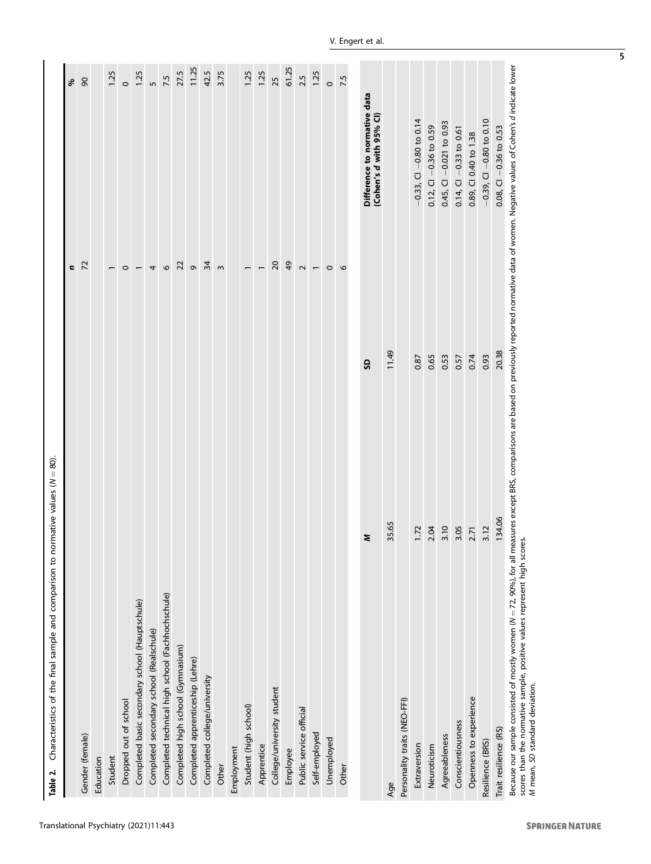<span id="page-4-0"></span>

| Characteristics of the final sample and comparison to normative values (N<br>Table 2.                                                                                                                                                                                                                                      | $= 80$ |                          |                                                         |
|----------------------------------------------------------------------------------------------------------------------------------------------------------------------------------------------------------------------------------------------------------------------------------------------------------------------------|--------|--------------------------|---------------------------------------------------------|
|                                                                                                                                                                                                                                                                                                                            |        | r,                       | %                                                       |
| Gender (female)                                                                                                                                                                                                                                                                                                            |        | $\overline{z}$           | $\infty$                                                |
| Education                                                                                                                                                                                                                                                                                                                  |        |                          |                                                         |
| Student                                                                                                                                                                                                                                                                                                                    |        |                          | 1.25                                                    |
| Dropped out of school                                                                                                                                                                                                                                                                                                      |        | $\circ$                  | $\circ$                                                 |
| Completed basic secondary school (Hauptschule)                                                                                                                                                                                                                                                                             |        | $\overline{\phantom{m}}$ | 1.25                                                    |
| Completed secondary school (Realschule)                                                                                                                                                                                                                                                                                    |        | 4                        | $\overline{5}$                                          |
| Completed technical high school (Fachhochschule)                                                                                                                                                                                                                                                                           |        | $\mathbf{o}$             | 7.5                                                     |
| Completed high school (Gymnasium)                                                                                                                                                                                                                                                                                          |        | 22                       | 27.5                                                    |
| Completed apprenticeship (Lehre)                                                                                                                                                                                                                                                                                           |        | $\sigma$                 | 11.25                                                   |
| Completed college/university                                                                                                                                                                                                                                                                                               |        | 34                       | 42.5                                                    |
| Other                                                                                                                                                                                                                                                                                                                      |        | $\omega$                 | 3.75                                                    |
| Employment                                                                                                                                                                                                                                                                                                                 |        |                          |                                                         |
| Student (high school)                                                                                                                                                                                                                                                                                                      |        | $\overline{ }$           | 1.25                                                    |
| Apprentice                                                                                                                                                                                                                                                                                                                 |        |                          | 1.25                                                    |
| College/university student                                                                                                                                                                                                                                                                                                 |        | $\overline{c}$           | 25                                                      |
| Employee                                                                                                                                                                                                                                                                                                                   |        | $\overline{6}$           | 61.25                                                   |
| Public service official                                                                                                                                                                                                                                                                                                    |        | $\sim$                   | 2.5                                                     |
| Self-employed                                                                                                                                                                                                                                                                                                              |        | $\overline{\phantom{0}}$ | 1.25                                                    |
| Unemployed                                                                                                                                                                                                                                                                                                                 |        | $\circ$                  | $\circ$                                                 |
| Other                                                                                                                                                                                                                                                                                                                      |        | $\circ$                  | 7.5                                                     |
|                                                                                                                                                                                                                                                                                                                            |        |                          |                                                         |
|                                                                                                                                                                                                                                                                                                                            | z      | G                        | Difference to normative data<br>(Cohen's d with 95% CI) |
| Age                                                                                                                                                                                                                                                                                                                        | 35.65  | 11.49                    |                                                         |
| Personality traits (NEO-FFI)                                                                                                                                                                                                                                                                                               |        |                          |                                                         |
| Extraversion                                                                                                                                                                                                                                                                                                               | 1.72   | 0.87                     | $-0.33,$ Cl $-0.80$ to 0.14                             |
| Neuroticism                                                                                                                                                                                                                                                                                                                | 2.04   | 0.65                     | $-0.36$ to 0.59<br>0.12, C1                             |
| Agreeableness                                                                                                                                                                                                                                                                                                              | 3.10   | 0.53                     | $0.45,$ CI $-0.021$ to 0.93                             |
| Conscientiousness                                                                                                                                                                                                                                                                                                          | 3.05   | 0.57                     | $0.14,$ CI $-0.33$ to 0.61                              |
| Openness to experience                                                                                                                                                                                                                                                                                                     | 2.71   | 0.74                     | 0.89, CI 0.40 to 1.38                                   |
| Resilience (BRS)                                                                                                                                                                                                                                                                                                           | 3.12   | 0.93                     | $-0.39$ , CI $-0.80$ to 0.10                            |
| Trait resilience (RS)                                                                                                                                                                                                                                                                                                      | 134.06 | 20.38                    | $0.08$ , CI $-0.36$ to 0.53                             |
| Because our sample consisted of mostly women ( $N=72$ , 90%), for all measures except BRS, comparisons are based on previously reported normative data of women. Negative values of Cohen's d indicate lower<br>scores than the normative sample, positive values represent high scores.<br>M mean, SD standard deviation. |        |                          |                                                         |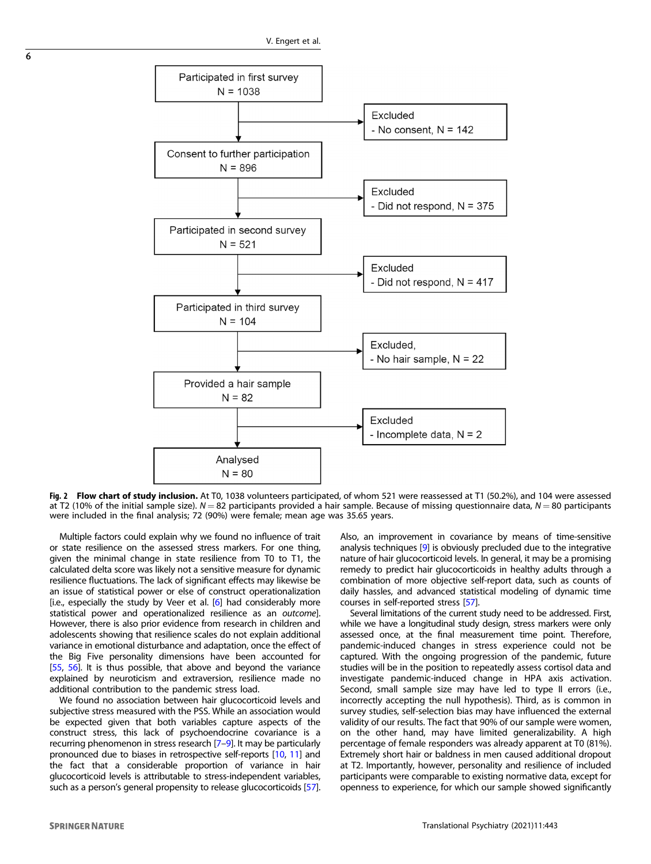<span id="page-5-0"></span>

Fig. 2 Flow chart of study inclusion. At T0, 1038 volunteers participated, of whom 521 were reassessed at T1 (50.2%), and 104 were assessed at T2 (10% of the initial sample size).  $N = 82$  participants provided a hair sample. Because of missing questionnaire data,  $N = 80$  participants were included in the final analysis; 72 (90%) were female; mean age was 35.65 years.

Multiple factors could explain why we found no influence of trait or state resilience on the assessed stress markers. For one thing, given the minimal change in state resilience from T0 to T1, the calculated delta score was likely not a sensitive measure for dynamic resilience fluctuations. The lack of significant effects may likewise be an issue of statistical power or else of construct operationalization [i.e., especially the study by Veer et al.  $[6]$  $[6]$  $[6]$  had considerably more statistical power and operationalized resilience as an outcome]. However, there is also prior evidence from research in children and adolescents showing that resilience scales do not explain additional variance in emotional disturbance and adaptation, once the effect of the Big Five personality dimensions have been accounted for [[55,](#page-7-0) [56](#page-7-0)]. It is thus possible, that above and beyond the variance explained by neuroticism and extraversion, resilience made no additional contribution to the pandemic stress load.

We found no association between hair glucocorticoid levels and subjective stress measured with the PSS. While an association would be expected given that both variables capture aspects of the construct stress, this lack of psychoendocrine covariance is a recurring phenomenon in stress research [\[7](#page-6-0)–[9](#page-6-0)]. It may be particularly pronounced due to biases in retrospective self-reports [\[10](#page-6-0), [11\]](#page-6-0) and the fact that a considerable proportion of variance in hair glucocorticoid levels is attributable to stress-independent variables, such as a person's general propensity to release glucocorticoids [\[57](#page-7-0)]. Also, an improvement in covariance by means of time-sensitive analysis techniques [\[9\]](#page-6-0) is obviously precluded due to the integrative nature of hair glucocorticoid levels. In general, it may be a promising remedy to predict hair glucocorticoids in healthy adults through a combination of more objective self-report data, such as counts of daily hassles, and advanced statistical modeling of dynamic time courses in self-reported stress [\[57\]](#page-7-0).

Several limitations of the current study need to be addressed. First, while we have a longitudinal study design, stress markers were only assessed once, at the final measurement time point. Therefore, pandemic-induced changes in stress experience could not be captured. With the ongoing progression of the pandemic, future studies will be in the position to repeatedly assess cortisol data and investigate pandemic-induced change in HPA axis activation. Second, small sample size may have led to type II errors (i.e., incorrectly accepting the null hypothesis). Third, as is common in survey studies, self-selection bias may have influenced the external validity of our results. The fact that 90% of our sample were women, on the other hand, may have limited generalizability. A high percentage of female responders was already apparent at T0 (81%). Extremely short hair or baldness in men caused additional dropout at T2. Importantly, however, personality and resilience of included participants were comparable to existing normative data, except for openness to experience, for which our sample showed significantly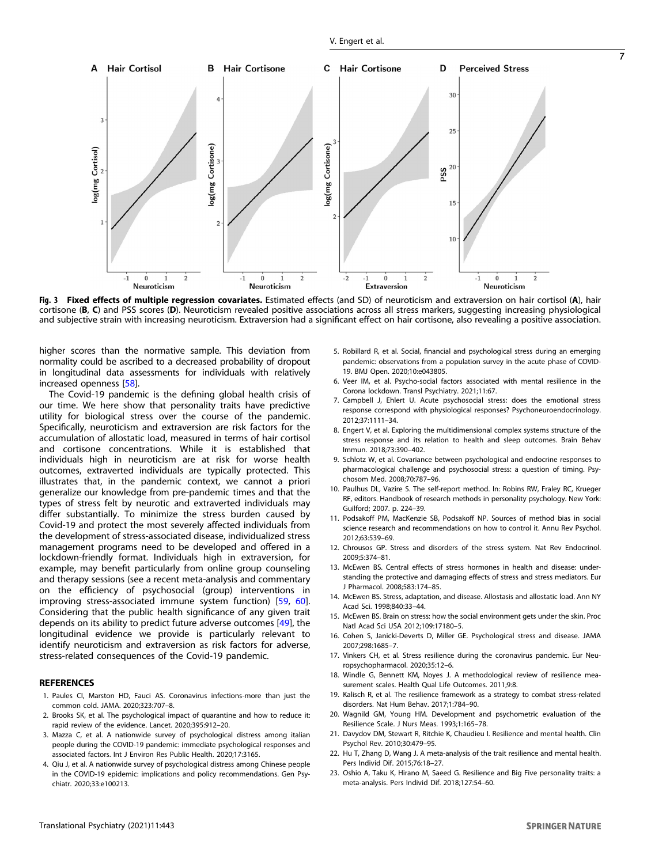<span id="page-6-0"></span>

Fig. 3 Fixed effects of multiple regression covariates. Estimated effects (and SD) of neuroticism and extraversion on hair cortisol (A), hair cortisone (B, C) and PSS scores (D). Neuroticism revealed positive associations across all stress markers, suggesting increasing physiological and subjective strain with increasing neuroticism. Extraversion had a significant effect on hair cortisone, also revealing a positive association.

higher scores than the normative sample. This deviation from normality could be ascribed to a decreased probability of dropout in longitudinal data assessments for individuals with relatively increased openness [\[58](#page-7-0)].

The Covid-19 pandemic is the defining global health crisis of our time. We here show that personality traits have predictive utility for biological stress over the course of the pandemic. Specifically, neuroticism and extraversion are risk factors for the accumulation of allostatic load, measured in terms of hair cortisol and cortisone concentrations. While it is established that individuals high in neuroticism are at risk for worse health outcomes, extraverted individuals are typically protected. This illustrates that, in the pandemic context, we cannot a priori generalize our knowledge from pre-pandemic times and that the types of stress felt by neurotic and extraverted individuals may differ substantially. To minimize the stress burden caused by Covid-19 and protect the most severely affected individuals from the development of stress-associated disease, individualized stress management programs need to be developed and offered in a lockdown-friendly format. Individuals high in extraversion, for example, may benefit particularly from online group counseling and therapy sessions (see a recent meta-analysis and commentary on the efficiency of psychosocial (group) interventions in improving stress-associated immune system function) [[59,](#page-7-0) [60\]](#page-7-0). Considering that the public health significance of any given trait depends on its ability to predict future adverse outcomes [[49\]](#page-7-0), the longitudinal evidence we provide is particularly relevant to identify neuroticism and extraversion as risk factors for adverse, stress-related consequences of the Covid-19 pandemic.

## **REFERENCES**

- 1. Paules CI, Marston HD, Fauci AS. Coronavirus infections-more than just the common cold. JAMA. 2020;323:707–8.
- 2. Brooks SK, et al. The psychological impact of quarantine and how to reduce it: rapid review of the evidence. Lancet. 2020;395:912–20.
- 3. Mazza C, et al. A nationwide survey of psychological distress among italian people during the COVID-19 pandemic: immediate psychological responses and associated factors. Int J Environ Res Public Health. 2020;17:3165.
- 4. Qiu J, et al. A nationwide survey of psychological distress among Chinese people in the COVID-19 epidemic: implications and policy recommendations. Gen Psychiatr. 2020;33:e100213.
- 5. Robillard R, et al. Social, financial and psychological stress during an emerging pandemic: observations from a population survey in the acute phase of COVID-19. BMJ Open. 2020;10:e043805.
- 6. Veer IM, et al. Psycho-social factors associated with mental resilience in the Corona lockdown. Transl Psychiatry. 2021;11:67.
- 7. Campbell J, Ehlert U. Acute psychosocial stress: does the emotional stress response correspond with physiological responses? Psychoneuroendocrinology. 2012;37:1111–34.
- 8. Engert V, et al. Exploring the multidimensional complex systems structure of the stress response and its relation to health and sleep outcomes. Brain Behav Immun. 2018;73:390–402.
- 9. Schlotz W, et al. Covariance between psychological and endocrine responses to pharmacological challenge and psychosocial stress: a question of timing. Psychosom Med. 2008;70:787–96.
- 10. Paulhus DL, Vazire S. The self-report method. In: Robins RW, Fraley RC, Krueger RF, editors. Handbook of research methods in personality psychology. New York: Guilford; 2007. p. 224–39.
- 11. Podsakoff PM, MacKenzie SB, Podsakoff NP. Sources of method bias in social science research and recommendations on how to control it. Annu Rev Psychol. 2012;63:539–69.
- 12. Chrousos GP. Stress and disorders of the stress system. Nat Rev Endocrinol. 2009;5:374–81.
- 13. McEwen BS. Central effects of stress hormones in health and disease: understanding the protective and damaging effects of stress and stress mediators. Eur J Pharmacol. 2008;583:174–85.
- 14. McEwen BS. Stress, adaptation, and disease. Allostasis and allostatic load. Ann NY Acad Sci. 1998;840:33–44.
- 15. McEwen BS. Brain on stress: how the social environment gets under the skin. Proc Natl Acad Sci USA 2012;109:17180–5.
- 16. Cohen S, Janicki-Deverts D, Miller GE. Psychological stress and disease. JAMA 2007;298:1685–7.
- 17. Vinkers CH, et al. Stress resilience during the coronavirus pandemic. Eur Neuropsychopharmacol. 2020;35:12–6.
- 18. Windle G, Bennett KM, Noyes J. A methodological review of resilience measurement scales. Health Qual Life Outcomes. 2011;9:8.
- 19. Kalisch R, et al. The resilience framework as a strategy to combat stress-related disorders. Nat Hum Behav. 2017;1:784–90.
- 20. Wagnild GM, Young HM. Development and psychometric evaluation of the Resilience Scale. J Nurs Meas. 1993;1:165–78.
- 21. Davydov DM, Stewart R, Ritchie K, Chaudieu I. Resilience and mental health. Clin Psychol Rev. 2010;30:479–95.
- 22. Hu T, Zhang D, Wang J. A meta-analysis of the trait resilience and mental health. Pers Individ Dif. 2015;76:18–27.
- 23. Oshio A, Taku K, Hirano M, Saeed G. Resilience and Big Five personality traits: a meta-analysis. Pers Individ Dif. 2018;127:54–60.

7